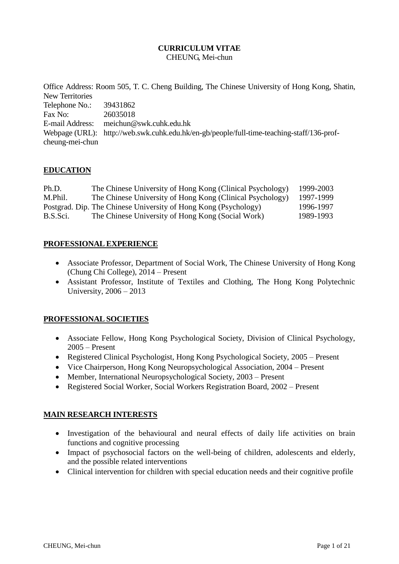#### **CURRICULUM VITAE** CHEUNG, Mei-chun

Office Address: Room 505, T. C. Cheng Building, The Chinese University of Hong Kong, Shatin, New Territories Telephone No.: 39431862<br>Fax No: 26035018 26035018 E-mail Address: meichun@swk.cuhk.edu.hk Webpage (URL): http://web.swk.cuhk.edu.hk/en-gb/people/full-time-teaching-staff/136-profcheung-mei-chun

## **EDUCATION**

| Ph.D.    | The Chinese University of Hong Kong (Clinical Psychology)       | 1999-2003 |
|----------|-----------------------------------------------------------------|-----------|
| M.Phil.  | The Chinese University of Hong Kong (Clinical Psychology)       | 1997-1999 |
|          | Postgrad. Dip. The Chinese University of Hong Kong (Psychology) | 1996-1997 |
| B.S.Sci. | The Chinese University of Hong Kong (Social Work)               | 1989-1993 |

### **PROFESSIONAL EXPERIENCE**

- Associate Professor, Department of Social Work, The Chinese University of Hong Kong (Chung Chi College), 2014 – Present
- Assistant Professor, Institute of Textiles and Clothing, The Hong Kong Polytechnic University, 2006 – 2013

## **PROFESSIONAL SOCIETIES**

- Associate Fellow, Hong Kong Psychological Society, Division of Clinical Psychology, 2005 – Present
- Registered Clinical Psychologist, Hong Kong Psychological Society, 2005 Present
- Vice Chairperson, Hong Kong Neuropsychological Association, 2004 Present
- Member, International Neuropsychological Society, 2003 Present
- Registered Social Worker, Social Workers Registration Board, 2002 Present

#### **MAIN RESEARCH INTERESTS**

- Investigation of the behavioural and neural effects of daily life activities on brain functions and cognitive processing
- Impact of psychosocial factors on the well-being of children, adolescents and elderly, and the possible related interventions
- Clinical intervention for children with special education needs and their cognitive profile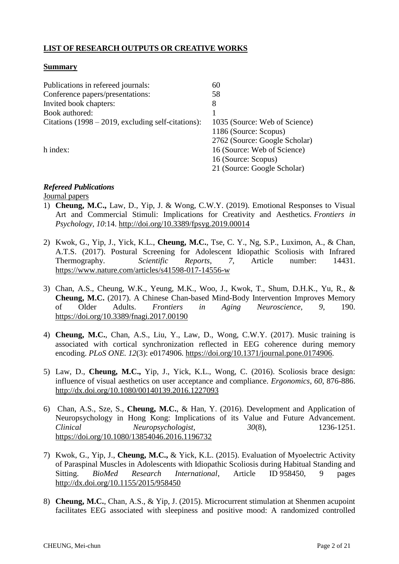## **LIST OF RESEARCH OUTPUTS OR CREATIVE WORKS**

#### **Summary**

| Publications in refereed journals:                   | 60                            |
|------------------------------------------------------|-------------------------------|
| Conference papers/presentations:                     | 58                            |
| Invited book chapters:                               | 8                             |
| Book authored:                                       |                               |
| Citations $(1998 – 2019, excluding self-citations):$ | 1035 (Source: Web of Science) |
|                                                      | 1186 (Source: Scopus)         |
|                                                      | 2762 (Source: Google Scholar) |
| h index:                                             | 16 (Source: Web of Science)   |
|                                                      | 16 (Source: Scopus)           |
|                                                      | 21 (Source: Google Scholar)   |
|                                                      |                               |

# *Refereed Publications*

Journal papers

- 1) **Cheung, M.C.,** Law, D., Yip, J. & Wong, C.W.Y. (2019). Emotional Responses to Visual Art and Commercial Stimuli: Implications for Creativity and Aesthetics. *Frontiers in Psychology, 10*:14.<http://doi.org/10.3389/fpsyg.2019.00014>
- 2) Kwok, G., Yip, J., Yick, K.L., **Cheung, M.C.**, Tse, C. Y., Ng, S.P., Luximon, A., & Chan, A.T.S. (2017). Postural Screening for Adolescent Idiopathic Scoliosis with Infrared Thermography. *Scientific Reports*, *7*, Article number: 14431. <https://www.nature.com/articles/s41598-017-14556-w>
- 3) [Chan, A.S.](http://apps.webofknowledge.com/DaisyOneClickSearch.do?product=WOS&search_mode=DaisyOneClickSearch&colName=WOS&SID=P1FFyu2NZR3ArrrXl8Z&author_name=Chan,%20AS&dais_id=2006545165&excludeEventConfig=ExcludeIfFromFullRecPage), [Cheung, W.K.](http://apps.webofknowledge.com/DaisyOneClickSearch.do?product=WOS&search_mode=DaisyOneClickSearch&colName=WOS&SID=P1FFyu2NZR3ArrrXl8Z&author_name=Cheung,%20WK&dais_id=2006551461&excludeEventConfig=ExcludeIfFromFullRecPage), [Yeung, M.K.](http://apps.webofknowledge.com/DaisyOneClickSearch.do?product=WOS&search_mode=DaisyOneClickSearch&colName=WOS&SID=P1FFyu2NZR3ArrrXl8Z&author_name=Yeung,%20MK&dais_id=2006865735&excludeEventConfig=ExcludeIfFromFullRecPage), [Woo, J.](http://apps.webofknowledge.com/DaisyOneClickSearch.do?product=WOS&search_mode=DaisyOneClickSearch&colName=WOS&SID=P1FFyu2NZR3ArrrXl8Z&author_name=Woo,%20J&dais_id=1000901351&excludeEventConfig=ExcludeIfFromFullRecPage), [Kwok, T.](http://apps.webofknowledge.com/DaisyOneClickSearch.do?product=WOS&search_mode=DaisyOneClickSearch&colName=WOS&SID=P1FFyu2NZR3ArrrXl8Z&author_name=Kwok,%20T&dais_id=1000634030&excludeEventConfig=ExcludeIfFromFullRecPage), [Shum, D.H.K.](http://apps.webofknowledge.com/DaisyOneClickSearch.do?product=WOS&search_mode=DaisyOneClickSearch&colName=WOS&SID=P1FFyu2NZR3ArrrXl8Z&author_name=Shum,%20DHK&dais_id=2006798554&excludeEventConfig=ExcludeIfFromFullRecPage), Yu, R., & **Cheung, M.C.** (2017). A Chinese Chan-based Mind-Body Intervention Improves Memory of Older Adults. *Frontiers in Aging Neuroscience, 9*, 190. <https://doi.org/10.3389/fnagi.2017.00190>
- 4) **Cheung, M.C.**, Chan, A.S., Liu, Y., Law, D., Wong, C.W.Y. (2017). Music training is associated with cortical synchronization reflected in EEG coherence during memory encoding. *PLoS ONE. 12*(3): e0174906. [https://doi.org/10.1371/journal.pone.0174906.](https://doi.org/10.1371/journal.pone.0174906)
- 5) Law, D., **Cheung, M.C.,** Yip, J., Yick, K.L., Wong, C. (2016). Scoliosis brace design: influence of visual aesthetics on user acceptance and compliance. *Ergonomics*, *60*, 876-886. <http://dx.doi.org/10.1080/00140139.2016.1227093>
- 6) Chan, A.S., Sze, S., **Cheung, M.C.**, & Han, Y. (2016). Development and Application of Neuropsychology in Hong Kong: Implications of its Value and Future Advancement. *Clinical Neuropsychologist, 30*(8), 1236-1251. <https://doi.org/10.1080/13854046.2016.1196732>
- 7) Kwok, G., Yip, J., **Cheung, M.C.,** & Yick, K.L. (2015). Evaluation of Myoelectric Activity of Paraspinal Muscles in Adolescents with Idiopathic Scoliosis during Habitual Standing and Sitting. *BioMed Research International*, Article ID 958450, 9 pages <http://dx.doi.org/10.1155/2015/958450>
- 8) **Cheung, M.C.**, Chan, A.S., & Yip, J. (2015). Microcurrent stimulation at Shenmen acupoint facilitates EEG associated with sleepiness and positive mood: A randomized controlled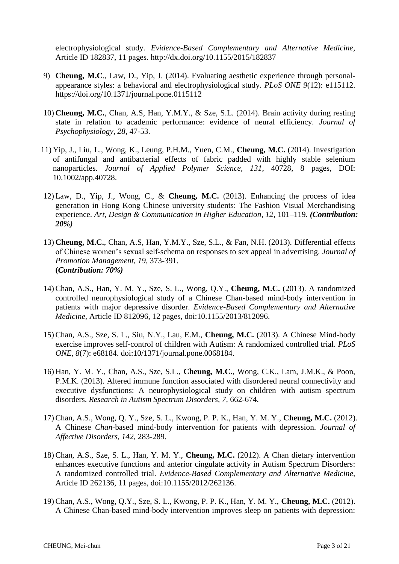electrophysiological study. *Evidence-Based Complementary and Alternative Medicine,* Article ID 182837, 11 pages.<http://dx.doi.org/10.1155/2015/182837>

- 9) **Cheung, M.C**., Law, D., Yip, J. (2014). Evaluating aesthetic experience through personalappearance styles: a behavioral and electrophysiological study. *PLoS ONE 9*(12): e115112. <https://doi.org/10.1371/journal.pone.0115112>
- 10) **Cheung, M.C.**, Chan, A.S, Han, Y.M.Y., & Sze, S.L. (2014). Brain activity during resting state in relation to academic performance: evidence of neural efficiency. *Journal of Psychophysiology, 28,* 47-53.
- 11) Yip, J., Liu, L., Wong, K., Leung, P.H.M., Yuen, C.M., **Cheung, M.C.** (2014). Investigation of antifungal and antibacterial effects of fabric padded with highly stable selenium nanoparticles. *Journal of Applied Polymer Science, 131*, 40728, 8 pages, DOI: 10.1002/app.40728.
- 12) Law, D., Yip, J., Wong, C., & **Cheung, M.C.** (2013). Enhancing the process of idea generation in Hong Kong Chinese university students: The Fashion Visual Merchandising experience. *Art, Design & Communication in Higher Education, 12,* 101–119*. (Contribution: 20%)*
- 13) **Cheung, M.C.**, Chan, A.S, Han, Y.M.Y., Sze, S.L., & Fan, N.H. (2013). Differential effects of Chinese women's sexual self-schema on responses to sex appeal in advertising. *Journal of Promotion Management, 19,* 373-391. **(***Contribution: 70%)*
- 14) Chan, A.S., Han, Y. M. Y., Sze, S. L., Wong, Q.Y., **Cheung, M.C.** (2013). A randomized controlled neurophysiological study of a Chinese Chan-based mind-body intervention in patients with major depressive disorder. *Evidence-Based Complementary and Alternative Medicine,* Article ID 812096, 12 pages, doi:10.1155/2013/812096.
- 15) Chan, A.S., Sze, S. L., Siu, N.Y., Lau, E.M., **Cheung, M.C.** (2013). A Chinese Mind-body exercise improves self-control of children with Autism: A randomized controlled trial. *PLoS ONE, 8*(7): e68184. doi:10/1371/journal.pone.0068184.
- 16) Han, Y. M. Y., Chan, A.S., Sze, S.L., **Cheung, M.C.**, Wong, C.K., Lam, J.M.K., & Poon, P.M.K. (2013). Altered immune function associated with disordered neural connectivity and executive dysfunctions: A neurophysiological study on children with autism spectrum disorders. *Research in Autism Spectrum Disorders, 7,* 662-674.
- 17) Chan, A.S., Wong, Q. Y., Sze, S. L., Kwong, P. P. K., Han, Y. M. Y., **Cheung, M.C.** (2012). A Chinese *Chan*-based mind-body intervention for patients with depression. *Journal of Affective Disorders, 142,* 283-289.
- 18) Chan, A.S., Sze, S. L., Han, Y. M. Y., **Cheung, M.C.** (2012). A Chan dietary intervention enhances executive functions and anterior cingulate activity in Autism Spectrum Disorders: A randomized controlled trial. *Evidence-Based Complementary and Alternative Medicine,* Article ID 262136, 11 pages, doi:10.1155/2012/262136.
- 19) Chan, A.S., Wong, Q.Y., Sze, S. L., Kwong, P. P. K., Han, Y. M. Y., **Cheung, M.C.** (2012). A Chinese Chan-based mind-body intervention improves sleep on patients with depression: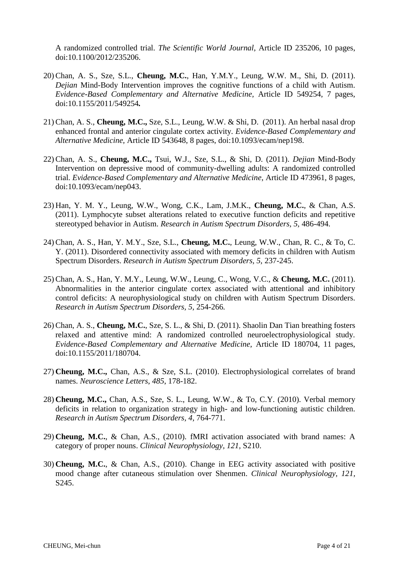A randomized controlled trial. *The Scientific World Journal*, Article ID 235206, 10 pages, doi:10.1100/2012/235206.

- 20) Chan, A. S., Sze, S.L., **Cheung, M.C.**, Han, Y.M.Y., Leung, W.W. M., Shi, D. (2011). *Dejian* Mind-Body Intervention improves the cognitive functions of a child with Autism. *Evidence-Based Complementary and Alternative Medicine,* Article ID 549254, 7 pages, doi:10.1155/2011/549254*.*
- 21) Chan, A. S., **Cheung, M.C.,** Sze, S.L., Leung, W.W. & Shi, D. (2011). An herbal nasal drop enhanced frontal and anterior cingulate cortex activity. *Evidence-Based Complementary and Alternative Medicine,* Article ID 543648, 8 pages, doi:10.1093/ecam/nep198.
- 22) Chan, A. S., **Cheung, M.C.,** Tsui, W.J., Sze, S.L., & Shi, D. (2011). *Dejian* Mind-Body Intervention on depressive mood of community-dwelling adults: A randomized controlled trial. *Evidence-Based Complementary and Alternative Medicine*, Article ID 473961, 8 pages, doi:10.1093/ecam/nep043.
- 23) Han, Y. M. Y., Leung, W.W., Wong, C.K., Lam, J.M.K., **Cheung, M.C.**, & Chan, A.S. (2011). Lymphocyte subset alterations related to executive function deficits and repetitive stereotyped behavior in Autism. *Research in Autism Spectrum Disorders, 5,* 486-494.
- 24) Chan, A. S., Han, Y. M.Y., Sze, S.L., **Cheung, M.C.**, Leung, W.W., Chan, R. C., & To, C. Y. (2011). Disordered connectivity associated with memory deficits in children with Autism Spectrum Disorders. *Research in Autism Spectrum Disorders, 5,* 237-245.
- 25) Chan, A. S., Han, Y. M.Y., Leung, W.W., Leung, C., Wong, V.C., & **Cheung, M.C.** (2011). Abnormalities in the anterior cingulate cortex associated with attentional and inhibitory control deficits: A neurophysiological study on children with Autism Spectrum Disorders. *Research in Autism Spectrum Disorders, 5,* 254-266*.*
- 26) Chan, A. S., **Cheung, M.C.**, Sze, S. L., & Shi, D. (2011). Shaolin Dan Tian breathing fosters relaxed and attentive mind: A randomized controlled neuroelectrophysiological study. *Evidence-Based Complementary and Alternative Medicine,* Article ID 180704, 11 pages, doi:10.1155/2011/180704.
- 27) **Cheung, M.C.,** Chan, A.S., & Sze, S.L. (2010). Electrophysiological correlates of brand names. *Neuroscience Letters*, *485*, 178-182.
- 28) **Cheung, M.C.,** Chan, A.S., Sze, S. L., Leung, W.W., & To, C.Y. (2010). Verbal memory deficits in relation to organization strategy in high- and low-functioning autistic children. *Research in Autism Spectrum Disorders, 4,* 764-771.
- 29) **Cheung, M.C.**, & Chan, A.S., (2010). fMRI activation associated with brand names: A category of proper nouns. *Clinical Neurophysiology, 121,* S210.
- 30) **Cheung, M.C.**, & Chan, A.S., (2010). Change in EEG activity associated with positive mood change after cutaneous stimulation over Shenmen. *Clinical Neurophysiology, 121,* S245.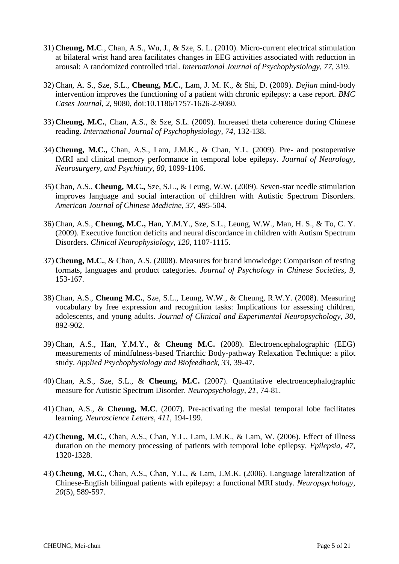- 31) **Cheung, M.C**., Chan, A.S., Wu, J., & Sze, S. L. (2010). Micro-current electrical stimulation at bilateral wrist hand area facilitates changes in EEG activities associated with reduction in arousal: A randomized controlled trial. *International Journal of Psychophysiology, 77,* 319.
- 32) Chan, A. S., Sze, S.L., **Cheung, M.C.**, Lam, J. M. K., & Shi, D. (2009). *Dejian* mind-body intervention improves the functioning of a patient with chronic epilepsy: a case report. *BMC Cases Journal, 2*, 9080, doi:10.1186/1757-1626-2-9080.
- 33) **Cheung, M.C.**, Chan, A.S., & Sze, S.L. (2009). Increased theta coherence during Chinese reading. *International Journal of Psychophysiology, 74,* 132-138.
- 34) **Cheung, M.C.,** Chan, A.S., Lam, J.M.K., & Chan, Y.L. (2009). Pre- and postoperative fMRI and clinical memory performance in temporal lobe epilepsy. *Journal of Neurology, Neurosurgery, and Psychiatry, 80,* 1099-1106.
- 35) Chan, A.S., **Cheung, M.C.,** Sze, S.L., & Leung, W.W. (2009). Seven-star needle stimulation improves language and social interaction of children with Autistic Spectrum Disorders. *American Journal of Chinese Medicine, 37,* 495-504.
- 36) Chan, A.S., **Cheung, M.C.,** Han, Y.M.Y., Sze, S.L., Leung, W.W., Man, H. S., & To, C. Y. (2009). Executive function deficits and neural discordance in children with Autism Spectrum Disorders. *Clinical Neurophysiology, 120,* 1107-1115.
- 37) **Cheung, M.C.**, & Chan, A.S. (2008). Measures for brand knowledge: Comparison of testing formats, languages and product categories. *Journal of Psychology in Chinese Societies, 9,* 153-167.
- 38) Chan, A.S., **Cheung M.C.**, Sze, S.L., Leung, W.W., & Cheung, R.W.Y. (2008). Measuring vocabulary by free expression and recognition tasks: Implications for assessing children, adolescents, and young adults. *Journal of Clinical and Experimental Neuropsychology, 30,* 892-902.
- 39) Chan, A.S., Han, Y.M.Y., & **Cheung M.C.** (2008). Electroencephalographic (EEG) measurements of mindfulness-based Triarchic Body-pathway Relaxation Technique: a pilot study. *Applied Psychophysiology and Biofeedback, 33,* 39-47.
- 40) Chan, A.S., Sze, S.L., & **Cheung, M.C.** (2007). Quantitative electroencephalographic measure for Autistic Spectrum Disorder. *Neuropsychology, 21,* 74-81.
- 41) Chan, A.S., & **Cheung, M.C**. (2007). Pre-activating the mesial temporal lobe facilitates learning. *Neuroscience Letters, 411,* 194-199.
- 42) **Cheung, M.C.**, Chan, A.S., Chan, Y.L., Lam, J.M.K., & Lam, W. (2006). Effect of illness duration on the memory processing of patients with temporal lobe epilepsy. *Epilepsia, 47,* 1320-1328.
- 43) **Cheung, M.C.**, Chan, A.S., Chan, Y.L., & Lam, J.M.K. (2006). Language lateralization of Chinese-English bilingual patients with epilepsy: a functional MRI study. *Neuropsychology, 20*(5), 589-597.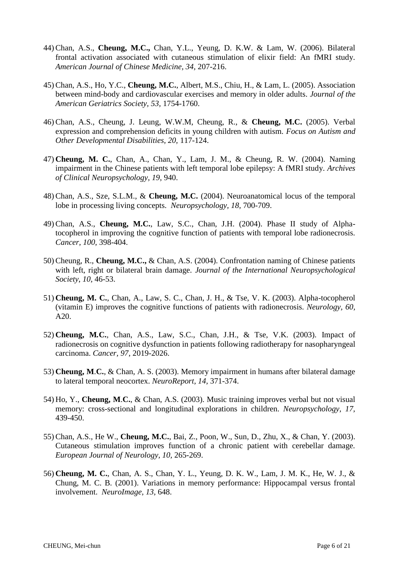- 44) Chan, A.S., **Cheung, M.C.,** Chan, Y.L., Yeung, D. K.W. & Lam, W. (2006). Bilateral frontal activation associated with cutaneous stimulation of elixir field: An fMRI study. *American Journal of Chinese Medicine, 34,* 207-216.
- 45) Chan, A.S., Ho, Y.C., **Cheung, M.C.**, Albert, M.S., Chiu, H., & Lam, L. (2005). Association between mind-body and cardiovascular exercises and memory in older adults. *Journal of the American Geriatrics Society, 53,* 1754-1760.
- 46) Chan, A.S., Cheung, J. Leung, W.W.M, Cheung, R., & **Cheung, M.C.** (2005). Verbal expression and comprehension deficits in young children with autism. *Focus on Autism and Other Developmental Disabilities, 20,* 117-124.
- 47) **Cheung, M. C.**, Chan, A., Chan, Y., Lam, J. M., & Cheung, R. W. (2004). Naming impairment in the Chinese patients with left temporal lobe epilepsy: A fMRI study*. Archives of Clinical Neuropsychology, 19,* 940.
- 48) Chan, A.S., Sze, S.L.M., & **Cheung, M.C.** (2004). Neuroanatomical locus of the temporal lobe in processing living concepts. *Neuropsychology, 18,* 700-709.
- 49) Chan, A.S., **Cheung, M.C.**, Law, S.C., Chan, J.H. (2004). Phase II study of Alphatocopherol in improving the cognitive function of patients with temporal lobe radionecrosis. *Cancer, 100,* 398-404.
- 50) Cheung, R., **Cheung, M.C.,** & Chan, A.S. (2004). Confrontation naming of Chinese patients with left, right or bilateral brain damage. *Journal of the International Neuropsychological Society*, *10,* 46-53.
- 51) **Cheung, M. C.**, Chan, A., Law, S. C., Chan, J. H., & Tse, V. K. (2003). Alpha-tocopherol (vitamin E) improves the cognitive functions of patients with radionecrosis. *Neurology, 60,* A20.
- 52) **Cheung, M***.***C.***,* Chan, A.S., Law, S.C., Chan, J.H., & Tse, V.K. (2003). Impact of radionecrosis on cognitive dysfunction in patients following radiotherapy for nasopharyngeal carcinoma. *Cancer, 97*, 2019-2026.
- 53) **Cheung, M**.**C.**, & Chan, A. S. (2003). Memory impairment in humans after bilateral damage to lateral temporal neocortex. *NeuroReport, 14,* 371-374.
- 54) Ho, Y., **Cheung, M**.**C.**, & Chan, A.S. (2003). Music training improves verbal but not visual memory: cross-sectional and longitudinal explorations in children. *Neuropsychology, 17,* 439-450.
- 55) Chan, A.S., He W., **Cheung, M.C.**, Bai, Z., Poon, W., Sun, D., Zhu, X., & Chan, Y. (2003). Cutaneous stimulation improves function of a chronic patient with cerebellar damage. *European Journal of Neurology, 10,* 265-269.
- 56) **Cheung, M. C.**, Chan, A. S., Chan, Y. L., Yeung, D. K. W., Lam, J. M. K., He, W. J., & Chung, M. C. B. (2001). Variations in memory performance: Hippocampal versus frontal involvement. *NeuroImage, 13,* 648.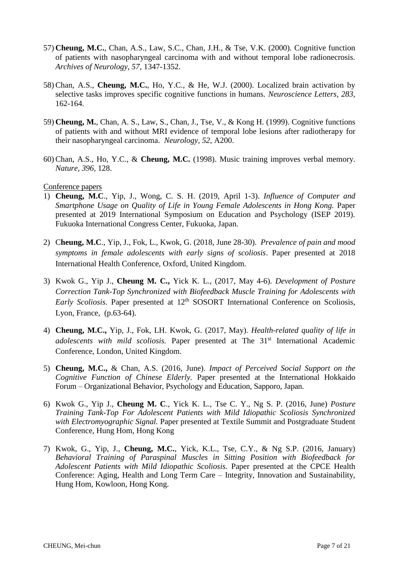- 57) **Cheung, M.C.**, Chan, A.S., Law, S.C., Chan, J.H., & Tse, V.K. (2000). Cognitive function of patients with nasopharyngeal carcinoma with and without temporal lobe radionecrosis. *Archives of Neurology, 57,* 1347-1352.
- 58) Chan, A.S., **Cheung, M.C.**, Ho, Y.C., & He, W.J. (2000). Localized brain activation by selective tasks improves specific cognitive functions in humans. *Neuroscience Letters, 283,* 162-164.
- 59) **Cheung, M.**, Chan, A. S., Law, S., Chan, J., Tse, V., & Kong H. (1999). Cognitive functions of patients with and without MRI evidence of temporal lobe lesions after radiotherapy for their nasopharyngeal carcinoma. *Neurology, 52,* A200.
- 60) Chan, A.S., Ho, Y.C., & **Cheung, M.C.** (1998). Music training improves verbal memory. *Nature, 396,* 128.

#### Conference papers

- 1) **Cheung, M.C**., Yip, J., Wong, C. S. H. (2019, April 1-3). *Influence of Computer and Smartphone Usage on Quality of Life in Young Female Adolescents in Hong Kong.* Paper presented at 2019 International Symposium on Education and Psychology (ISEP 2019). Fukuoka International Congress Center, Fukuoka, Japan.
- 2) C**heung, M.C**., Yip, J., Fok, L., Kwok, G. (2018, June 28-30). *Prevalence of pain and mood symptoms in female adolescents with early signs of scoliosis*. Paper presented at 2018 International Health Conference, Oxford, United Kingdom.
- 3) Kwok G., Yip J., **Cheung M. C.,** Yick K. L., (2017, May 4-6). *Development of Posture Correction Tank-Top Synchronized with Biofeedback Muscle Training for Adolescents with Early Scoliosis.* Paper presented at 12<sup>th</sup> SOSORT International Conference on Scoliosis, Lyon, France, (p.63-64).
- 4) **Cheung, M.C.,** Yip, J., Fok, LH. Kwok, G. (2017, May). *Health-related quality of life in adolescents with mild scoliosis.* Paper presented at The 31<sup>st</sup> International Academic Conference, London, United Kingdom.
- 5) **Cheung, M.C.,** & Chan, A.S. (2016, June). *Impact of Perceived Social Support on the Cognitive Function of Chinese Elderly.* Paper presented at the International Hokkaido Forum – Organizational Behavior, Psychology and Education, Sapporo, Japan.
- 6) Kwok G., Yip J., **Cheung M. C**., Yick K. L., Tse C. Y., Ng S. P. (2016, June) *Posture Training Tank-Top For Adolescent Patients with Mild Idiopathic Scoliosis Synchronized with Electromyographic Signal.* Paper presented at Textile Summit and Postgraduate Student Conference, Hung Hom, Hong Kong
- 7) Kwok, G., Yip, J., **Cheung, M.C.**, Yick, K.L., Tse, C.Y., & Ng S.P. (2016, January) *Behavioral Training of Paraspinal Muscles in Sitting Position with Biofeedback for Adolescent Patients with Mild Idiopathic Scoliosis.* Paper presented at the CPCE Health Conference: Aging, Health and Long Term Care – Integrity, Innovation and Sustainability, Hung Hom, Kowloon, Hong Kong.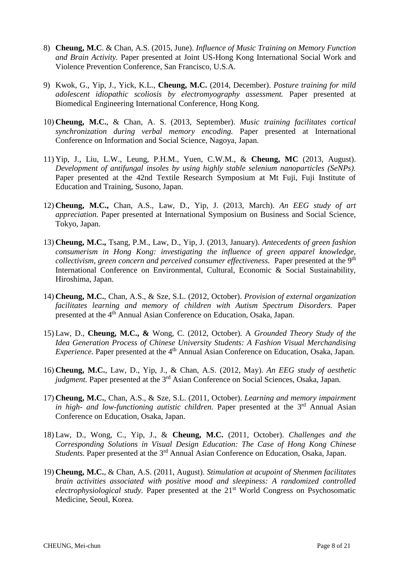- 8) **Cheung, M.C**. & Chan, A.S. (2015, June). *Influence of Music Training on Memory Function and Brain Activity.* Paper presented at Joint US-Hong Kong International Social Work and Violence Prevention Conference, San Francisco, U.S.A.
- 9) Kwok, G., Yip, J., Yick, K.L., **Cheung, M.C.** (2014, December). *Posture training for mild adolescent idiopathic scoliosis by electromyography assessment.* Paper presented at Biomedical Engineering International Conference, Hong Kong.
- 10) **Cheung, M.C.**, & Chan, A. S. (2013, September). *Music training facilitates cortical synchronization during verbal memory encoding.* Paper presented at International Conference on Information and Social Science, Nagoya, Japan.
- 11) Yip, J., Liu, L.W., Leung, P.H.M., Yuen, C.W.M., & **[Cheung, MC](http://ira.lib.polyu.edu.hk/browse?type=author&value=Cheung%2C+MC&value_lang=en_US)** (2013, August). *Development of antifungal insoles by using highly stable selenium nanoparticles (SeNPs).* Paper presented at the 42nd Textile Research Symposium at Mt Fuji, Fuji Institute of Education and Training, Susono, Japan.
- 12) **Cheung, M.C.,** Chan, A.S., Law, D., Yip, J. (2013, March). *An EEG study of art appreciation.* Paper presented at International Symposium on Business and Social Science, Tokyo, Japan.
- 13) **Cheung, M.C.,** Tsang, P.M., Law, D., Yip, J. (2013, January). *Antecedents of green fashion consumerism in Hong Kong: investigating the influence of green apparel knowledge, collectivism, green concern and perceived consumer effectiveness.* Paper presented at the 9<sup>th</sup> International Conference on Environmental, Cultural, Economic & Social Sustainability, Hiroshima, Japan.
- 14) **Cheung, M.C.**, Chan, A.S., & Sze, S.L. (2012, October). *Provision of external organization facilitates learning and memory of children with Autism Spectrum Disorders.* Paper presented at the 4<sup>th</sup> Annual Asian Conference on Education, Osaka, Japan.
- 15) Law, D., **Cheung, M.C., &** Wong, C. (2012, October). A *Grounded Theory Study of the Idea Generation Process of Chinese University Students: A Fashion Visual Merchandising Experience*. Paper presented at the 4<sup>th</sup> Annual Asian Conference on Education, Osaka, Japan.
- 16) **Cheung, M.C.**, Law, D., Yip, J., & Chan, A.S. (2012, May). *An EEG study of aesthetic judgment*. Paper presented at the 3<sup>rd</sup> Asian Conference on Social Sciences, Osaka, Japan.
- 17) **Cheung, M.C.**, Chan, A.S., & Sze, S.L. (2011, October). *Learning and memory impairment in high- and low-functioning autistic children.* Paper presented at the 3<sup>rd</sup> Annual Asian Conference on Education, Osaka, Japan.
- 18) Law, D., Wong, C., Yip, J., & **Cheung, M.C.** (2011, October). *Challenges and the Corresponding Solutions in Visual Design Education: The Case of Hong Kong Chinese Students.* Paper presented at the 3rd Annual Asian Conference on Education, Osaka, Japan.
- 19) **Cheung, M.C.**, & Chan, A.S. (2011, August). *Stimulation at acupoint of Shenmen facilitates brain activities associated with positive mood and sleepiness: A randomized controlled electrophysiological study.* Paper presented at the 21<sup>st</sup> World Congress on Psychosomatic Medicine, Seoul, Korea.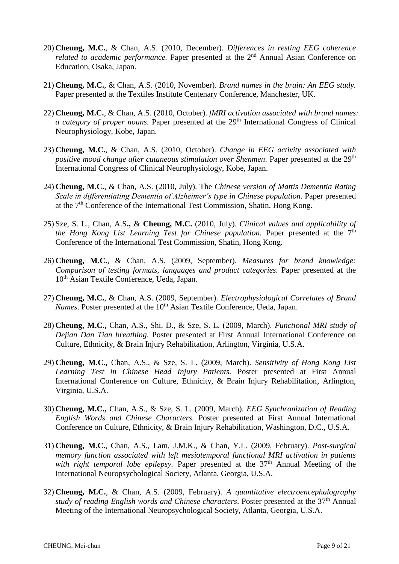- 20) **Cheung, M.C.**, & Chan, A.S. (2010, December). *Differences in resting EEG coherence related to academic performance*. Paper presented at the 2<sup>nd</sup> Annual Asian Conference on Education, Osaka, Japan.
- 21) **Cheung, M.C.**, & Chan, A.S. (2010, November). *Brand names in the brain: An EEG study.* Paper presented at the Textiles Institute Centenary Conference, Manchester, UK.
- 22) **Cheung, M.C.**, & Chan, A.S. (2010, October). *fMRI activation associated with brand names: a category of proper nouns.* Paper presented at the 29<sup>th</sup> International Congress of Clinical Neurophysiology, Kobe, Japan.
- 23) **Cheung, M.C.**, & Chan, A.S. (2010, October). *Change in EEG activity associated with positive mood change after cutaneous stimulation over Shenmen.* Paper presented at the 29<sup>th</sup> International Congress of Clinical Neurophysiology, Kobe, Japan.
- 24) **Cheung, M.C.**, & Chan, A.S. (2010, July). The *Chinese version of Mattis Dementia Rating Scale in differentiating Dementia of Alzheimer's type in Chinese population.* Paper presented at the 7th Conference of the International Test Commission, Shatin, Hong Kong.
- 25) Sze, S. L., Chan, A.S**.,** & **Cheung, M.C.** (2010, July). *Clinical values and applicability of the Hong Kong List Learning Test for Chinese population.* Paper presented at the 7<sup>th</sup> Conference of the International Test Commission, Shatin, Hong Kong.
- 26) **Cheung, M.C.**, & Chan, A.S. (2009, September). *Measures for brand knowledge: Comparison of testing formats, languages and product categories.* Paper presented at the 10th Asian Textile Conference, Ueda, Japan.
- 27) **Cheung, M.C.**, & Chan, A.S. (2009, September). *Electrophysiological Correlates of Brand Names*. Poster presented at the 10<sup>th</sup> Asian Textile Conference, Ueda, Japan.
- 28) **Cheung, M.C.,** Chan, A.S., Shi, D., & Sze, S. L. (2009, March). *Functional MRI study of Dejian Dan Tian breathing.* Poster presented at First Annual International Conference on Culture, Ethnicity, & Brain Injury Rehabilitation, Arlington, Virginia, U.S.A.
- 29) **Cheung, M.C.,** Chan, A.S., & Sze, S. L. (2009, March). *Sensitivity of Hong Kong List Learning Test in Chinese Head Injury Patients.* Poster presented at First Annual International Conference on Culture, Ethnicity, & Brain Injury Rehabilitation, Arlington, Virginia, U.S.A.
- 30) **Cheung, M.C.,** Chan, A.S., & Sze, S. L. (2009, March). *EEG Synchronization of Reading English Words and Chinese Characters.* Poster presented at First Annual International Conference on Culture, Ethnicity, & Brain Injury Rehabilitation, Washington, D.C., U.S.A.
- 31) **Cheung, M.C.**, Chan, A.S., Lam, J.M.K., & Chan, Y.L. (2009, February). *Post-surgical memory function associated with left mesiotemporal functional MRI activation in patients with right temporal lobe epilepsy.* Paper presented at the 37<sup>th</sup> Annual Meeting of the International Neuropsychological Society, Atlanta, Georgia, U.S.A.
- 32) **Cheung, M.C.**, & Chan, A.S. (2009, February). *A quantitative electroencephalography study of reading English words and Chinese characters*. Poster presented at the 37th Annual Meeting of the International Neuropsychological Society, Atlanta, Georgia, U.S.A.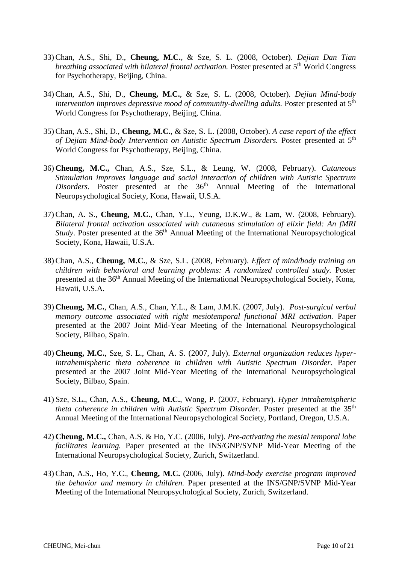- 33) Chan, A.S., Shi, D., **Cheung, M.C.**, & Sze, S. L. (2008, October). *Dejian Dan Tian*  breathing associated with bilateral frontal activation. Poster presented at 5<sup>th</sup> World Congress for Psychotherapy, Beijing, China.
- 34) Chan, A.S., Shi, D., **Cheung, M.C.**, & Sze, S. L. (2008, October). *Dejian Mind-body*  intervention improves depressive mood of community-dwelling adults. Poster presented at 5<sup>th</sup> World Congress for Psychotherapy, Beijing, China.
- 35) Chan, A.S., Shi, D., **Cheung, M.C.**, & Sze, S. L. (2008, October). *A case report of the effect*  of Dejian Mind-body Intervention on Autistic Spectrum Disorders. Poster presented at 5<sup>th</sup> World Congress for Psychotherapy, Beijing, China.
- 36) **Cheung, M.C.,** Chan, A.S., Sze, S.L., & Leung, W. (2008, February). *Cutaneous Stimulation improves language and social interaction of children with Autistic Spectrum Disorders.* Poster presented at the 36<sup>th</sup> Annual Meeting of the International Neuropsychological Society, Kona, Hawaii, U.S.A.
- 37) Chan, A. S., **Cheung, M.C.**, Chan, Y.L., Yeung, D.K.W., & Lam, W. (2008, February). *Bilateral frontal activation associated with cutaneous stimulation of elixir field: An fMRI Study*. Poster presented at the 36<sup>th</sup> Annual Meeting of the International Neuropsychological Society, Kona, Hawaii, U.S.A.
- 38) Chan, A.S., **Cheung, M.C.**, & Sze, S.L. (2008, February). *Effect of mind/body training on children with behavioral and learning problems: A randomized controlled study.* Poster presented at the 36<sup>th</sup> Annual Meeting of the International Neuropsychological Society, Kona, Hawaii, U.S.A.
- 39) **Cheung, M.C.**, Chan, A.S., Chan, Y.L., & Lam, J.M.K. (2007, July). *Post-surgical verbal memory outcome associated with right mesiotemporal functional MRI activation.* Paper presented at the 2007 Joint Mid-Year Meeting of the International Neuropsychological Society, Bilbao, Spain.
- 40) **Cheung, M.C.**, Sze, S. L., Chan, A. S. (2007, July). *External organization reduces hyperintrahemispheric theta coherence in children with Autistic Spectrum Disorder.* Paper presented at the 2007 Joint Mid-Year Meeting of the International Neuropsychological Society, Bilbao, Spain.
- 41) Sze, S.L., Chan, A.S., **Cheung, M.C.**, Wong, P. (2007, February). *Hyper intrahemispheric theta coherence in children with Autistic Spectrum Disorder.* Poster presented at the 35<sup>th</sup> Annual Meeting of the International Neuropsychological Society, Portland, Oregon, U.S.A.
- 42) **Cheung, M.C.,** Chan, A.S. & Ho, Y.C. (2006, July). *Pre-activating the mesial temporal lobe facilitates learning.* Paper presented at the INS/GNP/SVNP Mid-Year Meeting of the International Neuropsychological Society, Zurich, Switzerland.
- 43) Chan, A.S., Ho, Y.C., **Cheung, M.C.** (2006, July). *Mind-body exercise program improved the behavior and memory in children.* Paper presented at the INS/GNP/SVNP Mid-Year Meeting of the International Neuropsychological Society, Zurich, Switzerland.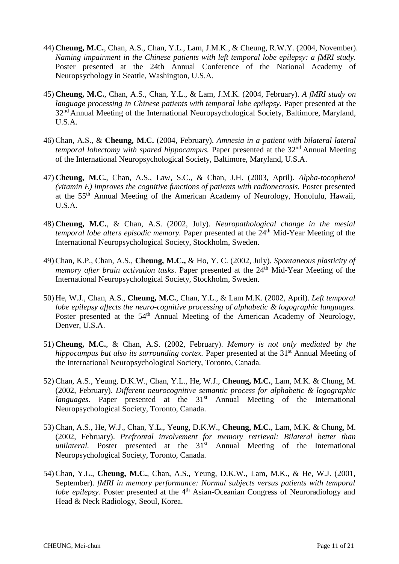- 44) **Cheung, M.C.**, Chan, A.S., Chan, Y.L., Lam, J.M.K., & Cheung, R.W.Y. (2004, November). *Naming impairment in the Chinese patients with left temporal lobe epilepsy: a fMRI study.*  Poster presented at the 24th Annual Conference of the National Academy of Neuropsychology in Seattle, Washington, U.S.A.
- 45) **Cheung, M.C.**, Chan, A.S., Chan, Y.L., & Lam, J.M.K. (2004, February). *A fMRI study on language processing in Chinese patients with temporal lobe epilepsy.* Paper presented at the 32<sup>nd</sup> Annual Meeting of the International Neuropsychological Society, Baltimore, Maryland, U.S.A.
- 46) Chan, A.S., & **Cheung, M.C.** (2004, February). *Amnesia in a patient with bilateral lateral temporal lobectomy with spared hippocampus.* Paper presented at the 32<sup>nd</sup> Annual Meeting of the International Neuropsychological Society, Baltimore, Maryland, U.S.A.
- 47) **Cheung, M.C.**, Chan, A.S., Law, S.C., & Chan, J.H. (2003, April). *Alpha-tocopherol (vitamin E) improves the cognitive functions of patients with radionecrosis.* Poster presented at the 55th Annual Meeting of the American Academy of Neurology, Honolulu, Hawaii, U.S.A.
- 48) **Cheung, M.C.**, & Chan, A.S. (2002, July). *Neuropathological change in the mesial temporal lobe alters episodic memory.* Paper presented at the 24<sup>th</sup> Mid-Year Meeting of the International Neuropsychological Society, Stockholm, Sweden.
- 49) Chan, K.P., Chan, A.S., **Cheung, M.C.,** & Ho, Y. C. (2002, July). *Spontaneous plasticity of memory after brain activation tasks.* Paper presented at the 24<sup>th</sup> Mid-Year Meeting of the International Neuropsychological Society, Stockholm, Sweden.
- 50) He, W.J., Chan, A.S., **Cheung, M.C.**, Chan, Y.L., & Lam M.K. (2002, April). *Left temporal lobe epilepsy affects the neuro-cognitive processing of alphabetic & logographic languages.* Poster presented at the 54<sup>th</sup> Annual Meeting of the American Academy of Neurology, Denver, U.S.A.
- 51) **Cheung, M.C.**, & Chan, A.S. (2002, February). *Memory is not only mediated by the hippocampus but also its surrounding cortex.* Paper presented at the 31<sup>st</sup> Annual Meeting of the International Neuropsychological Society, Toronto, Canada.
- 52) Chan, A.S., Yeung, D.K.W., Chan, Y.L., He, W.J., **Cheung, M.C.**, Lam, M.K. & Chung, M. (2002, February). *Different neurocognitive semantic process for alphabetic & logographic languages*. Paper presented at the 31<sup>st</sup> Annual Meeting of the International Neuropsychological Society, Toronto, Canada.
- 53) Chan, A.S., He, W.J., Chan, Y.L., Yeung, D.K.W., **Cheung, M.C.**, Lam, M.K. & Chung, M. (2002, February). *Prefrontal involvement for memory retrieval: Bilateral better than unilateral.* Poster presented at the 31<sup>st</sup> Annual Meeting of the International Neuropsychological Society, Toronto, Canada.
- 54) Chan, Y.L., **Cheung, M.C.**, Chan, A.S., Yeung, D.K.W., Lam, M.K., & He, W.J. (2001, September). *fMRI in memory performance: Normal subjects versus patients with temporal lobe epilepsy*. Poster presented at the 4<sup>th</sup> Asian-Oceanian Congress of Neuroradiology and Head & Neck Radiology, Seoul, Korea.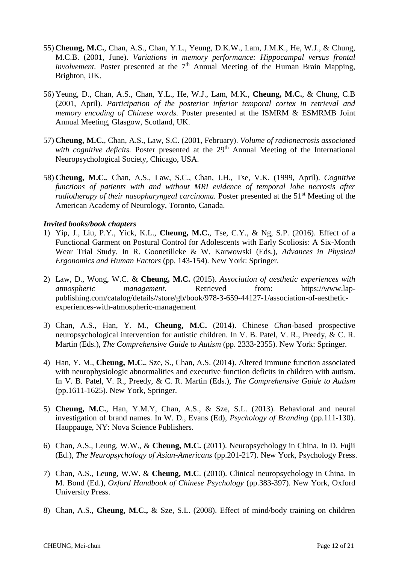- 55) **Cheung, M.C.**, Chan, A.S., Chan, Y.L., Yeung, D.K.W., Lam, J.M.K., He, W.J., & Chung, M.C.B. (2001, June). *Variations in memory performance: Hippocampal versus frontal*   $involvement$ . Poster presented at the  $7<sup>th</sup>$  Annual Meeting of the Human Brain Mapping, Brighton, UK.
- 56) Yeung, D., Chan, A.S., Chan, Y.L., He, W.J., Lam, M.K., **Cheung, M.C.**, & Chung, C.B (2001, April). *Participation of the posterior inferior temporal cortex in retrieval and memory encoding of Chinese words.* Poster presented at the ISMRM & ESMRMB Joint Annual Meeting, Glasgow, Scotland, UK.
- 57) **Cheung, M.C.**, Chan, A.S., Law, S.C. (2001, February). *Volume of radionecrosis associated with cognitive deficits.* Poster presented at the 29<sup>th</sup> Annual Meeting of the International Neuropsychological Society, Chicago, USA.
- 58) **Cheung, M.C.**, Chan, A.S., Law, S.C., Chan, J.H., Tse, V.K. (1999, April). *Cognitive functions of patients with and without MRI evidence of temporal lobe necrosis after radiotherapy of their nasopharyngeal carcinoma.* Poster presented at the 51<sup>st</sup> Meeting of the American Academy of Neurology, Toronto, Canada.

#### *Invited books/book chapters*

- 1) Yip, J., Liu, P.Y., Yick, K.L., **Cheung, M.C.**, Tse, C.Y., & Ng, S.P. (2016). [Effect of a](https://scholar.google.com.hk/scholar?oi=bibs&cluster=13325085729398851602&btnI=1&hl=zh-TW)  [Functional Garment on Postural Control for Adolescents with Early Scoliosis: A Six-Month](https://scholar.google.com.hk/scholar?oi=bibs&cluster=13325085729398851602&btnI=1&hl=zh-TW)  [Wear Trial Study.](https://scholar.google.com.hk/scholar?oi=bibs&cluster=13325085729398851602&btnI=1&hl=zh-TW) In R. Goonetilleke & W. Karwowski (Eds.), *Advances in Physical Ergonomics and Human Factors* (pp. 143-154). New York: Springer.
- 2) Law, D., Wong, W.C. & **Cheung, M.C.** (2015). *Association of aesthetic experiences with atmospheric* management. Retrieved from: https://www.lappublishing.com/catalog/details//store/gb/book/978-3-659-44127-1/association-of-aestheticexperiences-with-atmospheric-management
- 3) Chan, A.S., Han, Y. M., **Cheung, M.C.** (2014). Chinese *Chan*-based prospective neuropsychological intervention for autistic children. In V. B. Patel, V. R., Preedy, & C. R. Martin (Eds.), *The Comprehensive Guide to Autism* (pp. 2333-2355). New York: Springer.
- 4) Han, Y. M., **Cheung, M.C.**, Sze, S., Chan, A.S. (2014). Altered immune function associated with neurophysiologic abnormalities and executive function deficits in children with autism. In V. B. Patel, V. R., Preedy, & C. R. Martin (Eds.), *The Comprehensive Guide to Autism* (pp.1611-1625). New York, Springer.
- 5) **Cheung, M.C.**, Han, Y.M.Y, Chan, A.S., & Sze, S.L. (2013). Behavioral and neural investigation of brand names. In W. D., Evans (Ed), *Psychology of Branding* (pp.111-130). Hauppauge, NY: Nova Science Publishers.
- 6) Chan, A.S., Leung, W.W., & **Cheung, M.C.** (2011). Neuropsychology in China. In D. Fujii (Ed.), *The Neuropsychology of Asian-Americans* (pp.201-217). New York, Psychology Press.
- 7) Chan, A.S., Leung, W.W. & **Cheung, M.C**. (2010). Clinical neuropsychology in China. In M. Bond (Ed.), *Oxford Handbook of Chinese Psychology* (pp.383-397). New York, Oxford University Press.
- 8) Chan, A.S., **Cheung, M.C.,** & Sze, S.L. (2008). Effect of mind/body training on children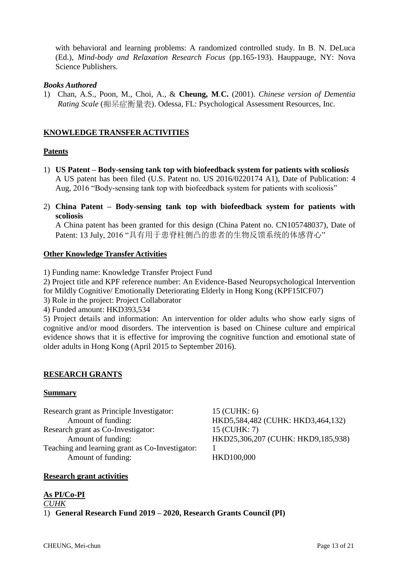with behavioral and learning problems: A randomized controlled study. In B. N. DeLuca (Ed.), *Mind-body and Relaxation Research Focus* (pp.165-193). Hauppauge, NY: Nova Science Publishers.

#### *Books Authored*

1) Chan, A.S., Poon, M., Choi, A., & **Cheung, M**.**C.** (2001). *Chinese version of Dementia Rating Scale* (痴呆症衡量表). Odessa, FL: Psychological Assessment Resources, Inc.

### **KNOWLEDGE TRANSFER ACTIVITIES**

#### **Patents**

- 1) **US Patent – Body-sensing tank top with biofeedback system for patients with scolios***is* A US patent has been filed (U.S. Patent no. US 2016/0220174 A1), Date of Publication: 4 Aug, 2016 "Body-sensing tank top with biofeedback system for patients with scoliosis"
- 2) **China Patent – Body-sensing tank top with biofeedback system for patients with scoliosis**

A China patent has been granted for this design (China Patent no. CN105748037), Date of Patent: 13 July, 2016 "具有用于患脊柱侧凸的患者的生物反馈系统的体感背心"

#### **Other Knowledge Transfer Activities**

- 1) Funding name: Knowledge Transfer Project Fund
- 2) Project title and KPF reference number: An Evidence-Based Neuropsychological Intervention for Mildly Cognitive/ Emotionally Deteriorating Elderly in Hong Kong (KPF15ICF07)
- 3) Role in the project: Project Collaborator
- 4) Funded amount: HKD393,534

5) Project details and information: An intervention for older adults who show early signs of cognitive and/or mood disorders. The intervention is based on Chinese culture and empirical evidence shows that it is effective for improving the cognitive function and emotional state of older adults in Hong Kong (April 2015 to September 2016).

#### **RESEARCH GRANTS**

#### **Summary**

Research grant as Principle Investigator: 15 (CUHK: 6) Amount of funding: HKD5,584,482 (CUHK: HKD3,464,132) Research grant as Co-Investigator: 15 (CUHK: 7) Amount of funding: <br>
HKD25,306,207 (CUHK: HKD9,185,938) Teaching and learning grant as Co-Investigator: 1 Amount of funding: HKD100,000

#### **Research grant activities**

## **As PI/Co-PI**

*CUHK*

1) **General Research Fund 2019 – 2020, Research Grants Council (PI)**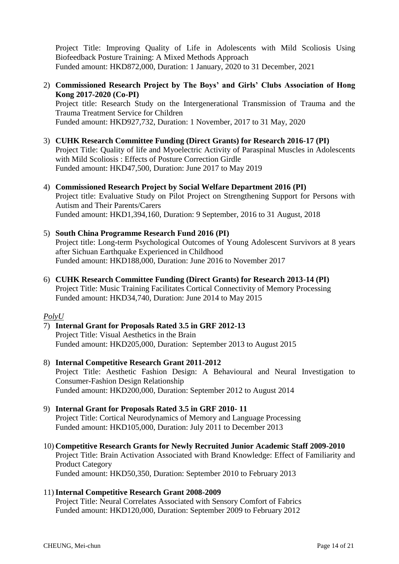Project Title: Improving Quality of Life in Adolescents with Mild Scoliosis Using Biofeedback Posture Training: A Mixed Methods Approach Funded amount: HKD872,000, Duration: 1 January, 2020 to 31 December, 2021

2) **Commissioned Research Project by The Boys' and Girls' Clubs Association of Hong Kong 2017-2020 (Co-PI)** Project title: Research Study on the Intergenerational Transmission of Trauma and the

Trauma Treatment Service for Children Funded amount: HKD927,732, Duration: 1 November, 2017 to 31 May, 2020

- 3) **CUHK Research Committee Funding (Direct Grants) for Research 2016-17 (PI)** Project Title: Quality of life and Myoelectric Activity of Paraspinal Muscles in Adolescents with Mild Scoliosis : Effects of Posture Correction Girdle Funded amount: HKD47,500, Duration: June 2017 to May 2019
- 4) **Commissioned Research Project by Social Welfare Department 2016 (PI)** Project title: Evaluative Study on Pilot Project on Strengthening Support for Persons with Autism and Their Parents/Carers Funded amount: HKD1,394,160, Duration: 9 September, 2016 to 31 August, 2018
- 5) **South China Programme Research Fund 2016 (PI)** Project title: Long-term Psychological Outcomes of Young Adolescent Survivors at 8 years after Sichuan Earthquake Experienced in Childhood Funded amount: HKD188,000, Duration: June 2016 to November 2017
- 6) **CUHK Research Committee Funding (Direct Grants) for Research 2013-14 (PI)** Project Title: Music Training Facilitates Cortical Connectivity of Memory Processing Funded amount: HKD34,740, Duration: June 2014 to May 2015

#### *PolyU*

- 7) **Internal Grant for Proposals Rated 3.5 in GRF 2012-13** Project Title: Visual Aesthetics in the Brain Funded amount: HKD205,000, Duration: September 2013 to August 2015
- 8) **Internal Competitive Research Grant 2011-2012** Project Title: Aesthetic Fashion Design: A Behavioural and Neural Investigation to Consumer-Fashion Design Relationship Funded amount: HKD200,000, Duration: September 2012 to August 2014
- 9) **Internal Grant for Proposals Rated 3.5 in GRF 2010- 11**  Project Title: Cortical Neurodynamics of Memory and Language Processing Funded amount: HKD105,000, Duration: July 2011 to December 2013
- 10) **Competitive Research Grants for Newly Recruited Junior Academic Staff 2009-2010** Project Title: Brain Activation Associated with Brand Knowledge: Effect of Familiarity and Product Category Funded amount: HKD50,350, Duration: September 2010 to February 2013

## 11)**Internal Competitive Research Grant 2008-2009**

Project Title: Neural Correlates Associated with Sensory Comfort of Fabrics Funded amount: HKD120,000, Duration: September 2009 to February 2012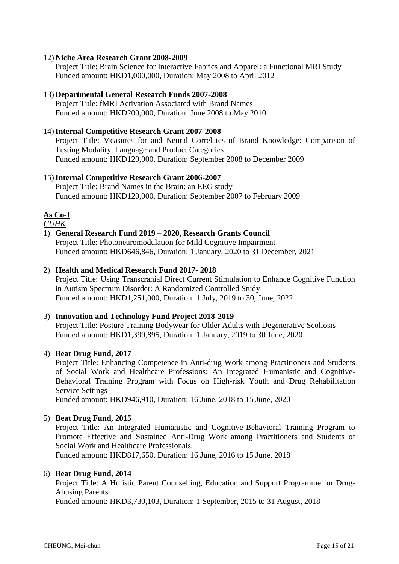#### 12) **Niche Area Research Grant 2008-2009**

Project Title: Brain Science for Interactive Fabrics and Apparel: a Functional MRI Study Funded amount: HKD1,000,000, Duration: May 2008 to April 2012

### 13) **Departmental General Research Funds 2007-2008**

Project Title: fMRI Activation Associated with Brand Names Funded amount: HKD200,000, Duration: June 2008 to May 2010

### 14)**Internal Competitive Research Grant 2007-2008**

Project Title: Measures for and Neural Correlates of Brand Knowledge: Comparison of Testing Modality, Language and Product Categories Funded amount: HKD120,000, Duration: September 2008 to December 2009

### 15)**Internal Competitive Research Grant 2006-2007**

Project Title: Brand Names in the Brain: an EEG study Funded amount: HKD120,000, Duration: September 2007 to February 2009

## **As Co-I**

*CUHK*

### 1) **General Research Fund 2019 – 2020, Research Grants Council**

Project Title: Photoneuromodulation for Mild Cognitive Impairment Funded amount: HKD646,846, Duration: 1 January, 2020 to 31 December, 2021

### 2) **Health and Medical Research Fund 2017- 2018**

Project Title: Using Transcranial Direct Current Stimulation to Enhance Cognitive Function in Autism Spectrum Disorder: A Randomized Controlled Study Funded amount: HKD1,251,000, Duration: 1 July, 2019 to 30, June, 2022

#### 3) **Innovation and Technology Fund Project 2018-2019**

Project Title: Posture Training Bodywear for Older Adults with Degenerative Scoliosis Funded amount: HKD1,399,895, Duration: 1 January, 2019 to 30 June, 2020

## 4) **Beat Drug Fund, 2017**

Project Title: Enhancing Competence in Anti-drug Work among Practitioners and Students of Social Work and Healthcare Professions: An Integrated Humanistic and Cognitive-Behavioral Training Program with Focus on High-risk Youth and Drug Rehabilitation Service Settings

Funded amount: HKD946,910, Duration: 16 June, 2018 to 15 June, 2020

#### 5) **Beat Drug Fund, 2015**

Project Title: An Integrated Humanistic and Cognitive-Behavioral Training Program to Promote Effective and Sustained Anti-Drug Work among Practitioners and Students of Social Work and Healthcare Professionals.

Funded amount: HKD817,650, Duration: 16 June, 2016 to 15 June, 2018

#### 6) **Beat Drug Fund, 2014**

Project Title: A Holistic Parent Counselling, Education and Support Programme for Drug-Abusing Parents

Funded amount: HKD3,730,103, Duration: 1 September, 2015 to 31 August, 2018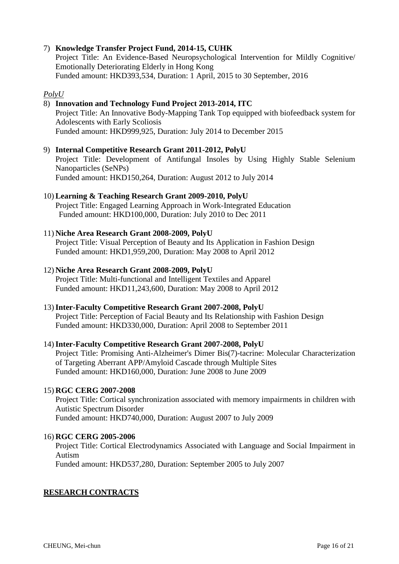## 7) **Knowledge Transfer Project Fund, 2014-15, CUHK**

Project Title: An Evidence-Based Neuropsychological Intervention for Mildly Cognitive/ Emotionally Deteriorating Elderly in Hong Kong Funded amount: HKD393,534, Duration: 1 April, 2015 to 30 September, 2016

### *PolyU*

#### 8) **Innovation and Technology Fund Project 2013-2014, ITC** Project Title: An Innovative Body-Mapping Tank Top equipped with biofeedback system for Adolescents with Early Scoliosis

Funded amount: HKD999,925, Duration: July 2014 to December 2015

9) **Internal Competitive Research Grant 2011-2012, PolyU** Project Title: Development of Antifungal Insoles by Using Highly Stable Selenium Nanoparticles (SeNPs) Funded amount: HKD150,264, Duration: August 2012 to July 2014

## 10) **Learning & Teaching Research Grant 2009-2010, PolyU**

Project Title: Engaged Learning Approach in Work-Integrated Education Funded amount: HKD100,000, Duration: July 2010 to Dec 2011

### 11) **Niche Area Research Grant 2008-2009, PolyU**

Project Title: Visual Perception of Beauty and Its Application in Fashion Design Funded amount: HKD1,959,200, Duration: May 2008 to April 2012

#### 12) **Niche Area Research Grant 2008-2009, PolyU**

Project Title: Multi-functional and Intelligent Textiles and Apparel Funded amount: HKD11,243,600, Duration: May 2008 to April 2012

#### 13)**Inter-Faculty Competitive Research Grant 2007-2008, PolyU**

Project Title: Perception of Facial Beauty and Its Relationship with Fashion Design Funded amount: HKD330,000, Duration: April 2008 to September 2011

#### 14)**Inter-Faculty Competitive Research Grant 2007-2008, PolyU**

Project Title: Promising Anti-Alzheimer's Dimer Bis(7)-tacrine: Molecular Characterization of Targeting Aberrant APP/Amyloid Cascade through Multiple Sites Funded amount: HKD160,000, Duration: June 2008 to June 2009

#### 15) **RGC CERG 2007-2008**

Project Title: Cortical synchronization associated with memory impairments in children with Autistic Spectrum Disorder Funded amount: HKD740,000, Duration: August 2007 to July 2009

#### 16) **RGC CERG 2005-2006**

Project Title: Cortical Electrodynamics Associated with Language and Social Impairment in Autism

Funded amount: HKD537,280, Duration: September 2005 to July 2007

## **RESEARCH CONTRACTS**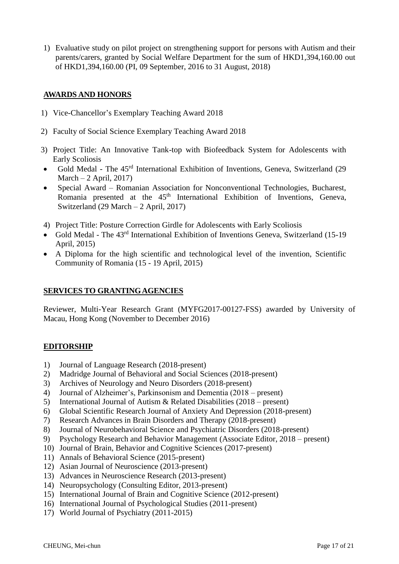1) Evaluative study on pilot project on strengthening support for persons with Autism and their parents/carers, granted by Social Welfare Department for the sum of HKD1,394,160.00 out of HKD1,394,160.00 (PI, 09 September, 2016 to 31 August, 2018)

## **AWARDS AND HONORS**

- 1) Vice-Chancellor's Exemplary Teaching Award 2018
- 2) Faculty of Social Science Exemplary Teaching Award 2018
- 3) Project Title: An Innovative Tank-top with Biofeedback System for Adolescents with Early Scoliosis
- Gold Medal The 45rd International Exhibition of Inventions, Geneva, Switzerland (29 March  $-2$  April, 2017)
- Special Award Romanian Association for Nonconventional Technologies, Bucharest, Romania presented at the  $45<sup>th</sup>$  International Exhibition of Inventions, Geneva, Switzerland (29 March – 2 April, 2017)
- 4) Project Title: Posture Correction Girdle for Adolescents with Early Scoliosis
- Gold Medal The 43rd International Exhibition of Inventions Geneva, Switzerland (15-19 April, 2015)
- A Diploma for the high scientific and technological level of the invention, Scientific Community of Romania (15 - 19 April, 2015)

#### **SERVICES TO GRANTINGAGENCIES**

Reviewer, Multi-Year Research Grant (MYFG2017-00127-FSS) awarded by University of Macau, Hong Kong (November to December 2016)

## **EDITORSHIP**

- 1) Journal of Language Research (2018-present)
- 2) Madridge Journal of Behavioral and Social Sciences (2018-present)
- 3) Archives of Neurology and Neuro Disorders (2018-present)
- 4) Journal of Alzheimer's, Parkinsonism and Dementia (2018 present)
- 5) International Journal of Autism & Related Disabilities (2018 present)
- 6) Global Scientific Research Journal of Anxiety And Depression (2018-present)
- 7) Research Advances in Brain Disorders and Therapy (2018-present)
- 8) Journal of Neurobehavioral Science and Psychiatric Disorders (2018-present)
- 9) Psychology Research and Behavior Management (Associate Editor, 2018 present)
- 10) Journal of Brain, Behavior and Cognitive Sciences (2017-present)
- 11) Annals of Behavioral Science (2015-present)
- 12) Asian Journal of Neuroscience (2013-present)
- 13) Advances in Neuroscience Research (2013-present)
- 14) Neuropsychology (Consulting Editor, 2013-present)
- 15) International Journal of Brain and Cognitive Science (2012-present)
- 16) International Journal of Psychological Studies (2011-present)
- 17) World Journal of Psychiatry (2011-2015)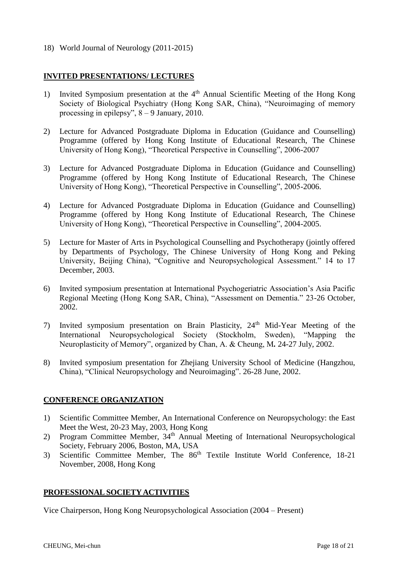18) World Journal of Neurology (2011-2015)

### **INVITED PRESENTATIONS/ LECTURES**

- 1) Invited Symposium presentation at the  $4<sup>th</sup>$  Annual Scientific Meeting of the Hong Kong Society of Biological Psychiatry (Hong Kong SAR, China), "Neuroimaging of memory processing in epilepsy", 8 – 9 January, 2010.
- 2) Lecture for Advanced Postgraduate Diploma in Education (Guidance and Counselling) Programme (offered by Hong Kong Institute of Educational Research, The Chinese University of Hong Kong), "Theoretical Perspective in Counselling", 2006-2007
- 3) Lecture for Advanced Postgraduate Diploma in Education (Guidance and Counselling) Programme (offered by Hong Kong Institute of Educational Research, The Chinese University of Hong Kong), "Theoretical Perspective in Counselling", 2005-2006.
- 4) Lecture for Advanced Postgraduate Diploma in Education (Guidance and Counselling) Programme (offered by Hong Kong Institute of Educational Research, The Chinese University of Hong Kong), "Theoretical Perspective in Counselling", 2004-2005.
- 5) Lecture for Master of Arts in Psychological Counselling and Psychotherapy (jointly offered by Departments of Psychology, The Chinese University of Hong Kong and Peking University, Beijing China), "Cognitive and Neuropsychological Assessment." 14 to 17 December, 2003.
- 6) Invited symposium presentation at International Psychogeriatric Association's Asia Pacific Regional Meeting (Hong Kong SAR, China), "Assessment on Dementia." 23-26 October, 2002.
- 7) Invited symposium presentation on Brain Plasticity, 24th Mid-Year Meeting of the International Neuropsychological Society (Stockholm, Sweden), "Mapping the Neuroplasticity of Memory", organized by Chan, A. & Cheung, M*.* 24-27 July, 2002.
- 8) Invited symposium presentation for Zhejiang University School of Medicine (Hangzhou, China), "Clinical Neuropsychology and Neuroimaging". 26-28 June, 2002.

## **CONFERENCE ORGANIZATION**

- 1) Scientific Committee Member, An International Conference on Neuropsychology: the East Meet the West, 20-23 May, 2003, Hong Kong
- 2) Program Committee Member, 34th Annual Meeting of International Neuropsychological Society, February 2006, Boston, MA, USA
- 3) Scientific Committee Member, The 86<sup>th</sup> Textile Institute World Conference, 18-21 November, 2008, Hong Kong

## **PROFESSIONAL SOCIETY ACTIVITIES**

Vice Chairperson, Hong Kong Neuropsychological Association (2004 – Present)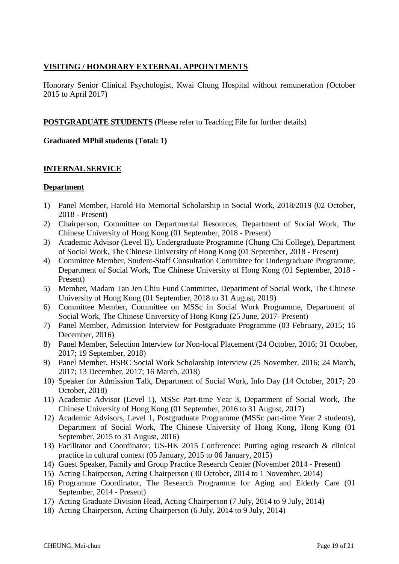## **VISITING / HONORARY EXTERNAL APPOINTMENTS**

Honorary Senior Clinical Psychologist, Kwai Chung Hospital without remuneration (October 2015 to April 2017)

**POSTGRADUATE STUDENTS** (Please refer to Teaching File for further details)

## **Graduated MPhil students (Total: 1)**

## **INTERNAL SERVICE**

## **Department**

- 1) Panel Member, Harold Ho Memorial Scholarship in Social Work, 2018/2019 (02 October, 2018 - Present)
- 2) Chairperson, Committee on Departmental Resources, Department of Social Work, The Chinese University of Hong Kong (01 September, 2018 - Present)
- 3) Academic Advisor (Level II), Undergraduate Programme (Chung Chi College), Department of Social Work, The Chinese University of Hong Kong (01 September, 2018 - Present)
- 4) Committee Member, Student-Staff Consultation Committee for Undergraduate Programme, Department of Social Work, The Chinese University of Hong Kong (01 September, 2018 - Present)
- 5) Member, Madam Tan Jen Chiu Fund Committee, Department of Social Work, The Chinese University of Hong Kong (01 September, 2018 to 31 August, 2019)
- 6) Committee Member, Committee on MSSc in Social Work Programme, Department of Social Work, The Chinese University of Hong Kong (25 June, 2017- Present)
- 7) Panel Member, Admission Interview for Postgraduate Programme (03 February, 2015; 16 December, 2016)
- 8) Panel Member, Selection Interview for Non-local Placement (24 October, 2016; 31 October, 2017; 19 September, 2018)
- 9) Panel Member, HSBC Social Work Scholarship Interview (25 November, 2016; 24 March, 2017; 13 December, 2017; 16 March, 2018)
- 10) Speaker for Admission Talk, Department of Social Work, Info Day (14 October, 2017; 20 October, 2018)
- 11) Academic Advisor (Level 1), MSSc Part-time Year 3, Department of Social Work, The Chinese University of Hong Kong (01 September, 2016 to 31 August, 2017)
- 12) Academic Advisors, Level 1, Postgraduate Programme (MSSc part-time Year 2 students), Department of Social Work, The Chinese University of Hong Kong, Hong Kong (01 September, 2015 to 31 August, 2016)
- 13) Facilitator and Coordinator, US-HK 2015 Conference: Putting aging research & clinical practice in cultural context (05 January, 2015 to 06 January, 2015)
- 14) Guest Speaker, Family and Group Practice Research Center (November 2014 Present)
- 15) Acting Chairperson, Acting Chairperson (30 October, 2014 to 1 November, 2014)
- 16) Programme Coordinator, The Research Programme for Aging and Elderly Care (01 September, 2014 - Present)
- 17) Acting Graduate Division Head, Acting Chairperson (7 July, 2014 to 9 July, 2014)
- 18) Acting Chairperson, Acting Chairperson (6 July, 2014 to 9 July, 2014)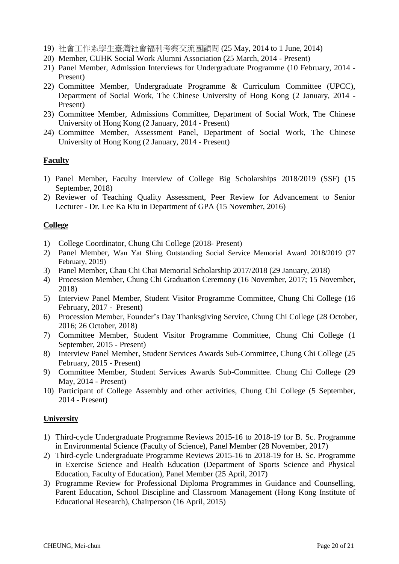- 19) 社會工作系學生臺灣社會福利考察交流團顧問 (25 May, 2014 to 1 June, 2014)
- 20) Member, CUHK Social Work Alumni Association (25 March, 2014 Present)
- 21) Panel Member, Admission Interviews for Undergraduate Programme (10 February, 2014 Present)
- 22) Committee Member, Undergraduate Programme & Curriculum Committee (UPCC), Department of Social Work, The Chinese University of Hong Kong (2 January, 2014 - Present)
- 23) Committee Member, Admissions Committee, Department of Social Work, The Chinese University of Hong Kong (2 January, 2014 - Present)
- 24) Committee Member, Assessment Panel, Department of Social Work, The Chinese University of Hong Kong (2 January, 2014 - Present)

#### **Faculty**

- 1) Panel Member, Faculty Interview of College Big Scholarships 2018/2019 (SSF) (15 September, 2018)
- 2) Reviewer of Teaching Quality Assessment, Peer Review for Advancement to Senior Lecturer - Dr. Lee Ka Kiu in Department of GPA (15 November, 2016)

#### **College**

- 1) College Coordinator, Chung Chi College (2018- Present)
- 2) Panel Member, Wan Yat Shing Outstanding Social Service Memorial Award 2018/2019 (27 February, 2019)
- 3) Panel Member, Chau Chi Chai Memorial Scholarship 2017/2018 (29 January, 2018)
- 4) Procession Member, Chung Chi Graduation Ceremony (16 November, 2017; 15 November, 2018)
- 5) Interview Panel Member, Student Visitor Programme Committee, Chung Chi College (16 February, 2017 - Present)
- 6) Procession Member, Founder's Day Thanksgiving Service, Chung Chi College (28 October, 2016; 26 October, 2018)
- 7) Committee Member, Student Visitor Programme Committee, Chung Chi College (1 September, 2015 - Present)
- 8) Interview Panel Member, Student Services Awards Sub-Committee, Chung Chi College (25 February, 2015 - Present)
- 9) Committee Member, Student Services Awards Sub-Committee. Chung Chi College (29 May, 2014 - Present)
- 10) Participant of College Assembly and other activities, Chung Chi College (5 September, 2014 - Present)

#### **University**

- 1) Third-cycle Undergraduate Programme Reviews 2015-16 to 2018-19 for B. Sc. Programme in Environmental Science (Faculty of Science), Panel Member (28 November, 2017)
- 2) Third-cycle Undergraduate Programme Reviews 2015-16 to 2018-19 for B. Sc. Programme in Exercise Science and Health Education (Department of Sports Science and Physical Education, Faculty of Education), Panel Member (25 April, 2017)
- 3) Programme Review for Professional Diploma Programmes in Guidance and Counselling, Parent Education, School Discipline and Classroom Management (Hong Kong Institute of Educational Research), Chairperson (16 April, 2015)